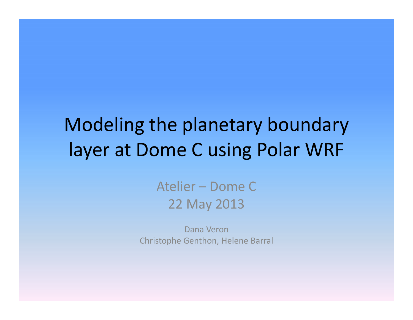# Modeling the planetary boundary layer at Dome C using Polar WRF

### Atelier – Dome C22 May 2013

Dana VeronChristophe Genthon, Helene Barral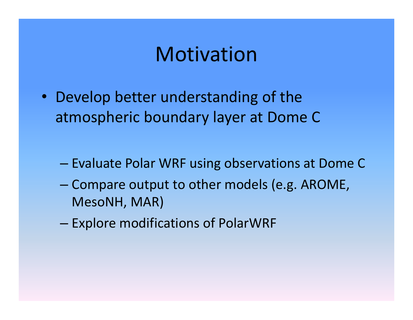## Motivation

- Develop better understanding of the atmospheric boundary layer at Dome C
	- $-$  Evaluate Polar WRF using observations at Dome C
	- Compare output to other models (e.g. AROME, MesoNH, MAR)
	- Explore modifications of PolarWRF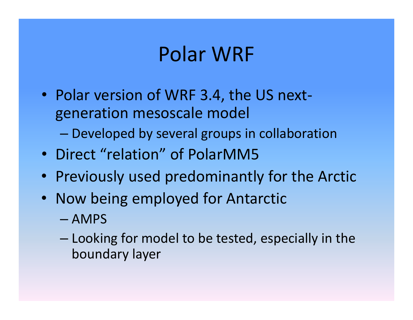## Polar WRF

- Polar version of WRF 3.4, the US nextgeneration mesoscale model
	- Developed by several groups in collaboration
- Direct "relation" of PolarMM5
- Previously used predominantly for the Arctic
- Now being employed for Antarctic
	- AMPS
	- Looking for model to be tested, especially in the boundary layer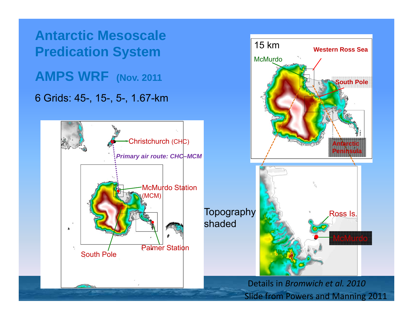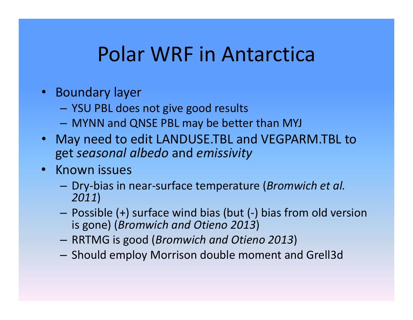## Polar WRF in Antarctica

- Boundary layer
	- YSU PBL does not give good results
	- MYNN and QNSE PBL may be better than MYJ
- May need to edit LANDUSE.TBL and VEGPARM.TBL to get *seasonal albedo* and *emissivity*
- Known issues
	- – Dry‐bias in near‐surface temperature (*Bromwich et al. 2011*)
	- Possible (+) surface wind bias (but (‐) bias from old version is gone) (*Bromwich and Otieno 2013*)
	- RRTMG is good (*Bromwich and Otieno 2013*)
	- $-$  Should employ Morrison double moment and Grell3d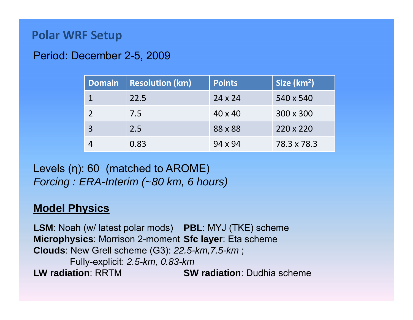### **Polar WRF Setup**

#### Period: December 2-5, 2009

| <b>Domain</b> | <b>Resolution (km)</b> | <b>Points</b>  | Size (km <sup>2</sup> ) |
|---------------|------------------------|----------------|-------------------------|
|               | 22.5                   | $24 \times 24$ | 540 x 540               |
|               | 7.5                    | $40 \times 40$ | 300 x 300               |
| 3             | 2.5                    | 88 x 88        | $220 \times 220$        |
|               | 0.83                   | 94 x 94        | 78.3 x 78.3             |

Levels (η): 60 (matched to AROME) *Forcing : ERA-Interim (~80 km, 6 hours)*

#### **Model Physics**

**LSM**: Noah (w/ latest polar mods) **PBL**: MYJ (TKE) scheme **Microphysics**: Morrison 2-moment **Sfc layer**: Eta scheme **Clouds**: New Grell scheme (G3): *22.5-km,7.5-km* ; Fully-explicit: *2.5-km, 0.83-km* **LW radiation**: RRTM**SW radiation:** Dudhia scheme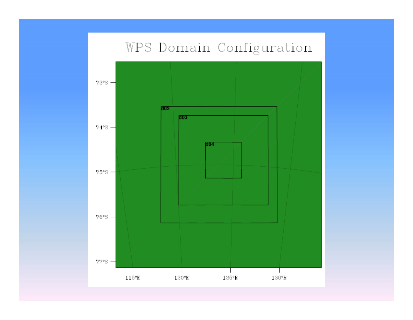### WPS Domain Configuration

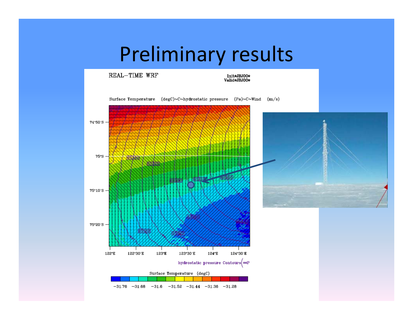# Preliminary results

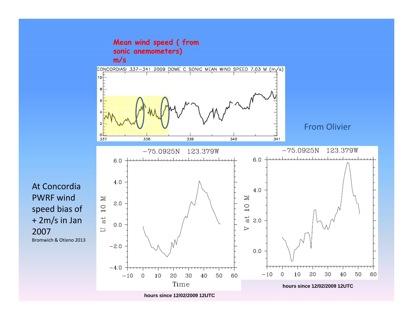

At ConcordiaPWRF windspeed bias of + 2m/s in Jan 2007Bromwich & Otieno 2013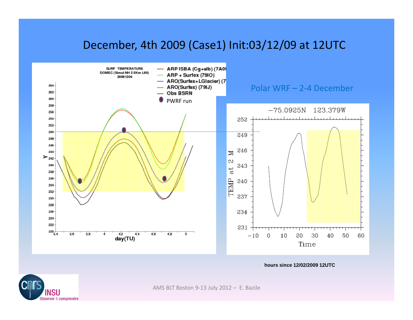### December, 4th 2009 (Case1) Init:03/12/09 at 12UTC



**hours since 12/02/2009 12UTC**



AMS BLT Boston 9‐13 July 2012 – E. Bazile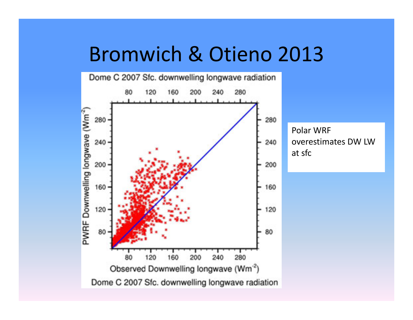## Bromwich & Otieno 2013

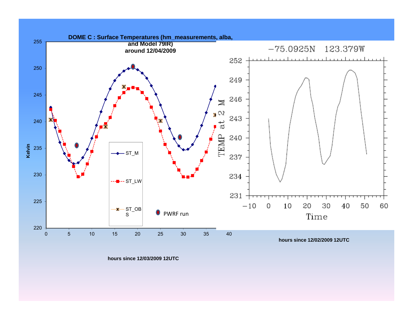

**hours since 12/03/2009 12UTC**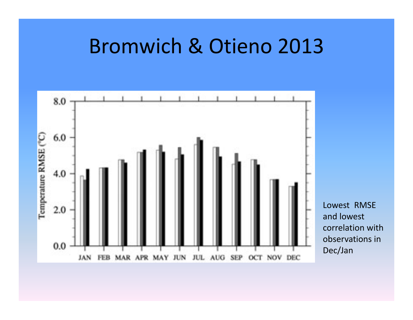### Bromwich & Otieno 2013

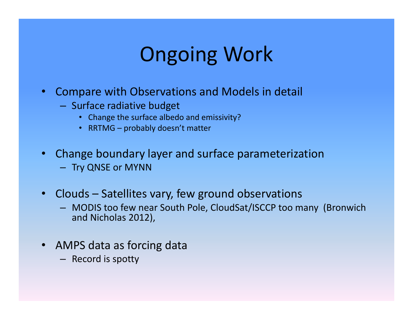# Ongoing Work

- $\bullet$  Compare with Observations and Models in detail
	- $-$  Surface radiative budget
		- Change the surface albedo and emissivity?
		- RRTMG probably doesn't matter
- $\bullet$  Change boundary layer and surface parameterization
	- Try QNSE or MYNN
- Clouds Satellites vary, few ground observations
	- MODIS too few near South Pole, CloudSat/ISCCP too many (Bronwich and Nicholas 2012),
- AMPS data as forcing data
	- Record is spotty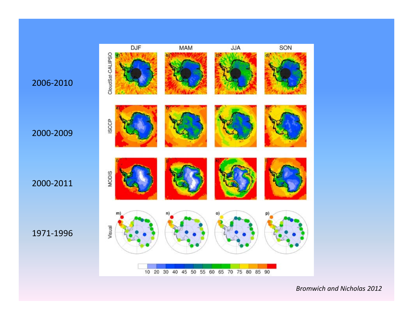

*Bromwich and Nicholas 2012*